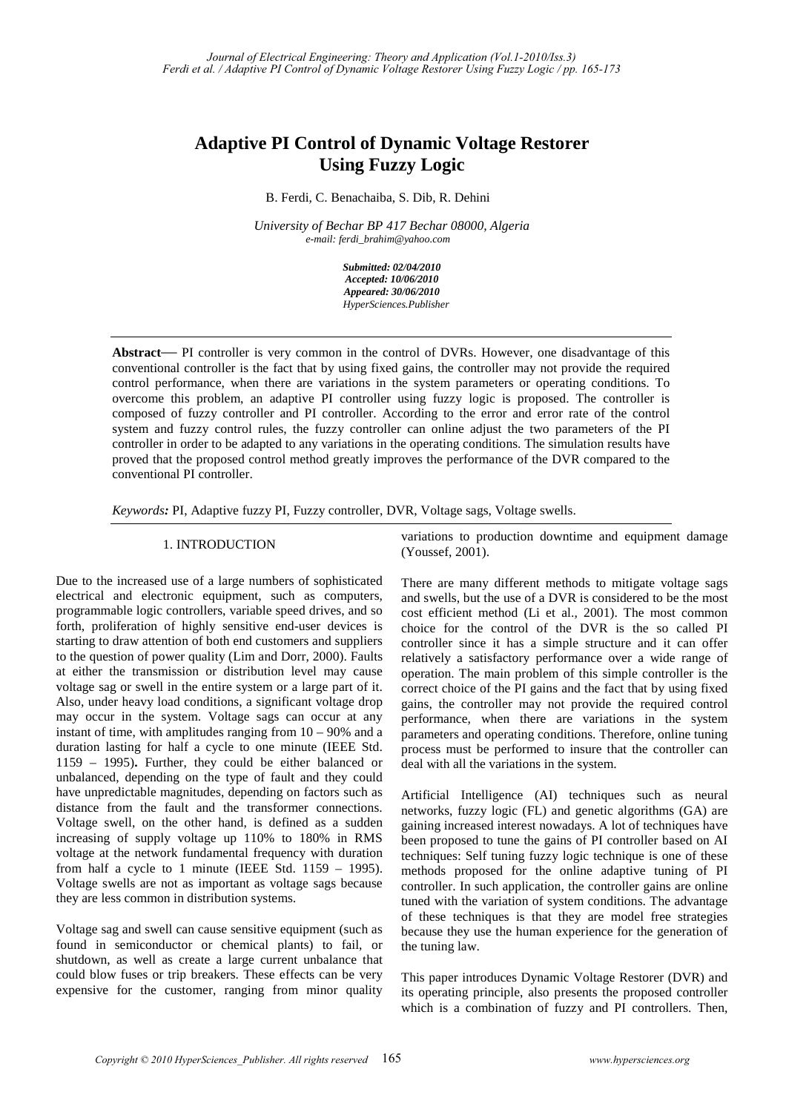# **Adaptive PI Control of Dynamic Voltage Restorer Using Fuzzy Logic**

B. Ferdi, C. Benachaiba, S. Dib, R. Dehini

*University of Bechar BP 417 Bechar 08000, Algeria e-mail: ferdi\_brahim@yahoo.com* 

> *Submitted: 02/04/2010 Accepted: 10/06/2010 Appeared: 30/06/2010 HyperSciences.Publisher*

**Abstract**— PI controller is very common in the control of DVRs. However, one disadvantage of this conventional controller is the fact that by using fixed gains, the controller may not provide the required control performance, when there are variations in the system parameters or operating conditions. To overcome this problem, an adaptive PI controller using fuzzy logic is proposed. The controller is composed of fuzzy controller and PI controller. According to the error and error rate of the control system and fuzzy control rules, the fuzzy controller can online adjust the two parameters of the PI controller in order to be adapted to any variations in the operating conditions. The simulation results have proved that the proposed control method greatly improves the performance of the DVR compared to the conventional PI controller.

*Keywords:* PI, Adaptive fuzzy PI, Fuzzy controller, DVR, Voltage sags, Voltage swells.

## 1. INTRODUCTION

Due to the increased use of a large numbers of sophisticated electrical and electronic equipment, such as computers, programmable logic controllers, variable speed drives, and so forth, proliferation of highly sensitive end-user devices is starting to draw attention of both end customers and suppliers to the question of power quality (Lim and Dorr, 2000). Faults at either the transmission or distribution level may cause voltage sag or swell in the entire system or a large part of it. Also, under heavy load conditions, a significant voltage drop may occur in the system. Voltage sags can occur at any instant of time, with amplitudes ranging from 10 – 90% and a duration lasting for half a cycle to one minute (IEEE Std. 1159 – 1995)**.** Further, they could be either balanced or unbalanced, depending on the type of fault and they could have unpredictable magnitudes, depending on factors such as distance from the fault and the transformer connections. Voltage swell, on the other hand, is defined as a sudden increasing of supply voltage up 110% to 180% in RMS voltage at the network fundamental frequency with duration from half a cycle to 1 minute (IEEE Std.  $1159 - 1995$ ). Voltage swells are not as important as voltage sags because they are less common in distribution systems.

Voltage sag and swell can cause sensitive equipment (such as found in semiconductor or chemical plants) to fail, or shutdown, as well as create a large current unbalance that could blow fuses or trip breakers. These effects can be very expensive for the customer, ranging from minor quality variations to production downtime and equipment damage (Youssef, 2001).

There are many different methods to mitigate voltage sags and swells, but the use of a DVR is considered to be the most cost efficient method (Li et al., 2001). The most common choice for the control of the DVR is the so called PI controller since it has a simple structure and it can offer relatively a satisfactory performance over a wide range of operation. The main problem of this simple controller is the correct choice of the PI gains and the fact that by using fixed gains, the controller may not provide the required control performance, when there are variations in the system parameters and operating conditions. Therefore, online tuning process must be performed to insure that the controller can deal with all the variations in the system.

Artificial Intelligence (AI) techniques such as neural networks, fuzzy logic (FL) and genetic algorithms (GA) are gaining increased interest nowadays. A lot of techniques have been proposed to tune the gains of PI controller based on AI techniques: Self tuning fuzzy logic technique is one of these methods proposed for the online adaptive tuning of PI controller. In such application, the controller gains are online tuned with the variation of system conditions. The advantage of these techniques is that they are model free strategies because they use the human experience for the generation of the tuning law.

This paper introduces Dynamic Voltage Restorer (DVR) and its operating principle, also presents the proposed controller which is a combination of fuzzy and PI controllers. Then,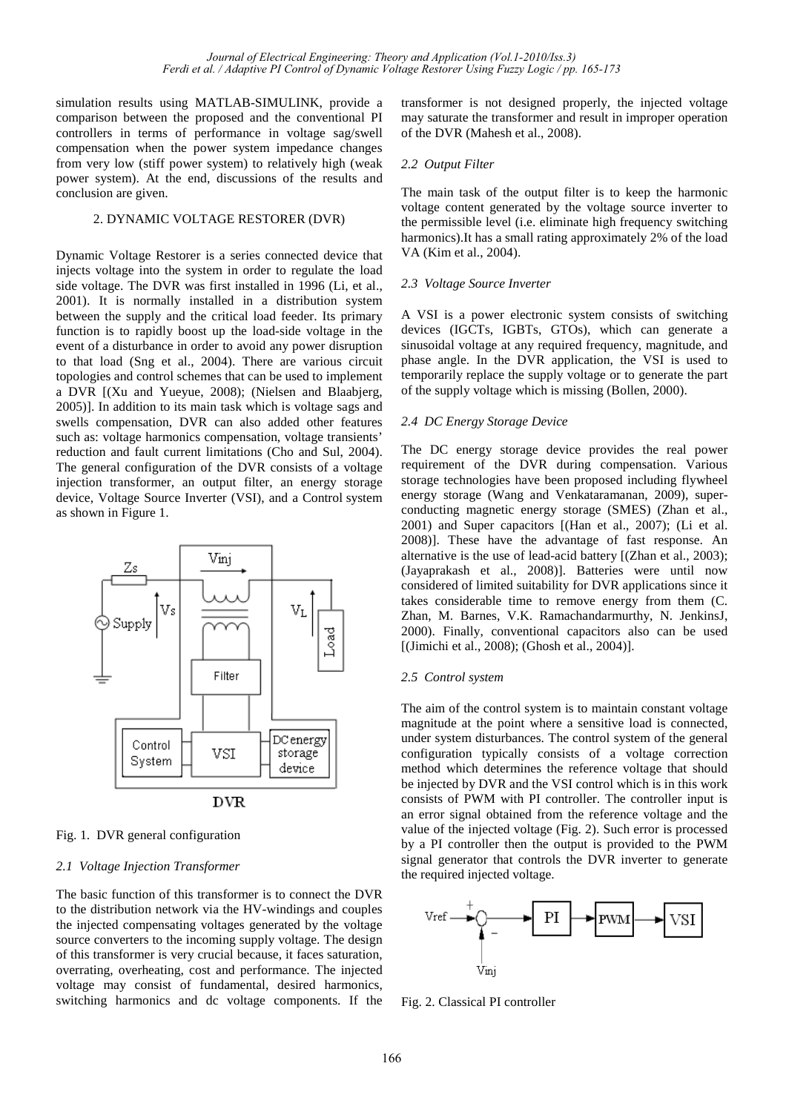simulation results using MATLAB-SIMULINK, provide a comparison between the proposed and the conventional PI controllers in terms of performance in voltage sag/swell compensation when the power system impedance changes from very low (stiff power system) to relatively high (weak power system). At the end, discussions of the results and conclusion are given.

# 2. DYNAMIC VOLTAGE RESTORER (DVR)

Dynamic Voltage Restorer is a series connected device that injects voltage into the system in order to regulate the load side voltage. The DVR was first installed in 1996 (Li, et al., 2001). It is normally installed in a distribution system between the supply and the critical load feeder. Its primary function is to rapidly boost up the load-side voltage in the event of a disturbance in order to avoid any power disruption to that load (Sng et al., 2004). There are various circuit topologies and control schemes that can be used to implement a DVR [(Xu and Yueyue, 2008); (Nielsen and Blaabjerg, 2005)]. In addition to its main task which is voltage sags and swells compensation, DVR can also added other features such as: voltage harmonics compensation, voltage transients' reduction and fault current limitations (Cho and Sul, 2004). The general configuration of the DVR consists of a voltage injection transformer, an output filter, an energy storage device, Voltage Source Inverter (VSI), and a Control system as shown in Figure 1.



# Fig. 1. DVR general configuration

#### *2.1 Voltage Injection Transformer*

The basic function of this transformer is to connect the DVR to the distribution network via the HV-windings and couples the injected compensating voltages generated by the voltage source converters to the incoming supply voltage. The design of this transformer is very crucial because, it faces saturation, overrating, overheating, cost and performance. The injected voltage may consist of fundamental, desired harmonics, switching harmonics and dc voltage components. If the

transformer is not designed properly, the injected voltage may saturate the transformer and result in improper operation of the DVR (Mahesh et al., 2008).

## *2.2 Output Filter*

The main task of the output filter is to keep the harmonic voltage content generated by the voltage source inverter to the permissible level (i.e. eliminate high frequency switching harmonics).It has a small rating approximately 2% of the load VA (Kim et al., 2004).

## *2.3 Voltage Source Inverter*

A VSI is a power electronic system consists of switching devices (IGCTs, IGBTs, GTOs), which can generate a sinusoidal voltage at any required frequency, magnitude, and phase angle. In the DVR application, the VSI is used to temporarily replace the supply voltage or to generate the part of the supply voltage which is missing (Bollen, 2000).

## *2.4 DC Energy Storage Device*

The DC energy storage device provides the real power requirement of the DVR during compensation. Various storage technologies have been proposed including flywheel energy storage (Wang and Venkataramanan, 2009), superconducting magnetic energy storage (SMES) (Zhan et al., 2001) and Super capacitors [(Han et al., 2007); (Li et al. 2008)]. These have the advantage of fast response. An alternative is the use of lead-acid battery [(Zhan et al., 2003); (Jayaprakash et al., 2008)]. Batteries were until now considered of limited suitability for DVR applications since it takes considerable time to remove energy from them (C. Zhan, M. Barnes, V.K. Ramachandarmurthy, N. JenkinsJ, 2000). Finally, conventional capacitors also can be used [(Jimichi et al., 2008); (Ghosh et al., 2004)].

# *2.5 Control system*

The aim of the control system is to maintain constant voltage magnitude at the point where a sensitive load is connected, under system disturbances. The control system of the general configuration typically consists of a voltage correction method which determines the reference voltage that should be injected by DVR and the VSI control which is in this work consists of PWM with PI controller. The controller input is an error signal obtained from the reference voltage and the value of the injected voltage (Fig. 2). Such error is processed by a PI controller then the output is provided to the PWM signal generator that controls the DVR inverter to generate the required injected voltage.



Fig. 2. Classical PI controller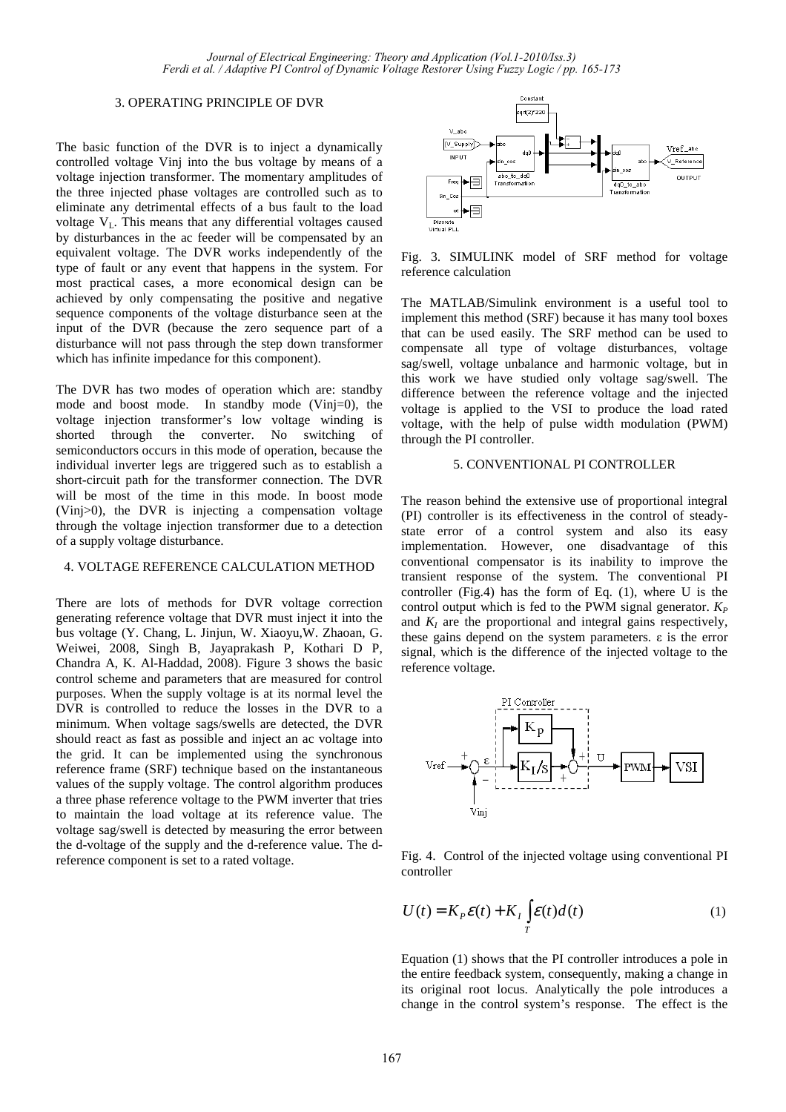#### 3. OPERATING PRINCIPLE OF DVR

The basic function of the DVR is to inject a dynamically controlled voltage Vinj into the bus voltage by means of a voltage injection transformer. The momentary amplitudes of the three injected phase voltages are controlled such as to eliminate any detrimental effects of a bus fault to the load voltage  $V_L$ . This means that any differential voltages caused by disturbances in the ac feeder will be compensated by an equivalent voltage. The DVR works independently of the type of fault or any event that happens in the system. For most practical cases, a more economical design can be achieved by only compensating the positive and negative sequence components of the voltage disturbance seen at the input of the DVR (because the zero sequence part of a disturbance will not pass through the step down transformer which has infinite impedance for this component).

The DVR has two modes of operation which are: standby mode and boost mode. In standby mode (Vinj=0), the voltage injection transformer's low voltage winding is shorted through the converter. No switching of semiconductors occurs in this mode of operation, because the individual inverter legs are triggered such as to establish a short-circuit path for the transformer connection. The DVR will be most of the time in this mode. In boost mode (Vinj>0), the DVR is injecting a compensation voltage through the voltage injection transformer due to a detection of a supply voltage disturbance.

#### 4. VOLTAGE REFERENCE CALCULATION METHOD

There are lots of methods for DVR voltage correction generating reference voltage that DVR must inject it into the bus voltage (Y. Chang, L. Jinjun, W. Xiaoyu,W. Zhaoan, G. Weiwei, 2008, Singh B, Jayaprakash P, Kothari D P, Chandra A, K. Al-Haddad, 2008). Figure 3 shows the basic control scheme and parameters that are measured for control purposes. When the supply voltage is at its normal level the DVR is controlled to reduce the losses in the DVR to a minimum. When voltage sags/swells are detected, the DVR should react as fast as possible and inject an ac voltage into the grid. It can be implemented using the synchronous reference frame (SRF) technique based on the instantaneous values of the supply voltage. The control algorithm produces a three phase reference voltage to the PWM inverter that tries to maintain the load voltage at its reference value. The voltage sag/swell is detected by measuring the error between the d-voltage of the supply and the d-reference value. The dreference component is set to a rated voltage.



Fig. 3. SIMULINK model of SRF method for voltage reference calculation

The MATLAB/Simulink environment is a useful tool to implement this method (SRF) because it has many tool boxes that can be used easily. The SRF method can be used to compensate all type of voltage disturbances, voltage sag/swell, voltage unbalance and harmonic voltage, but in this work we have studied only voltage sag/swell. The difference between the reference voltage and the injected voltage is applied to the VSI to produce the load rated voltage, with the help of pulse width modulation (PWM) through the PI controller.

# 5. CONVENTIONAL PI CONTROLLER

The reason behind the extensive use of proportional integral (PI) controller is its effectiveness in the control of steadystate error of a control system and also its easy implementation. However, one disadvantage of this conventional compensator is its inability to improve the transient response of the system. The conventional PI controller (Fig.4) has the form of Eq. (1), where U is the control output which is fed to the PWM signal generator.  $K_P$ and  $K_I$  are the proportional and integral gains respectively, these gains depend on the system parameters. ε is the error signal, which is the difference of the injected voltage to the reference voltage.



Fig. 4. Control of the injected voltage using conventional PI controller

$$
U(t) = K_p \mathcal{E}(t) + K_I \int_{T} \mathcal{E}(t) d(t)
$$
 (1)

Equation (1) shows that the PI controller introduces a pole in the entire feedback system, consequently, making a change in its original root locus. Analytically the pole introduces a change in the control system's response. The effect is the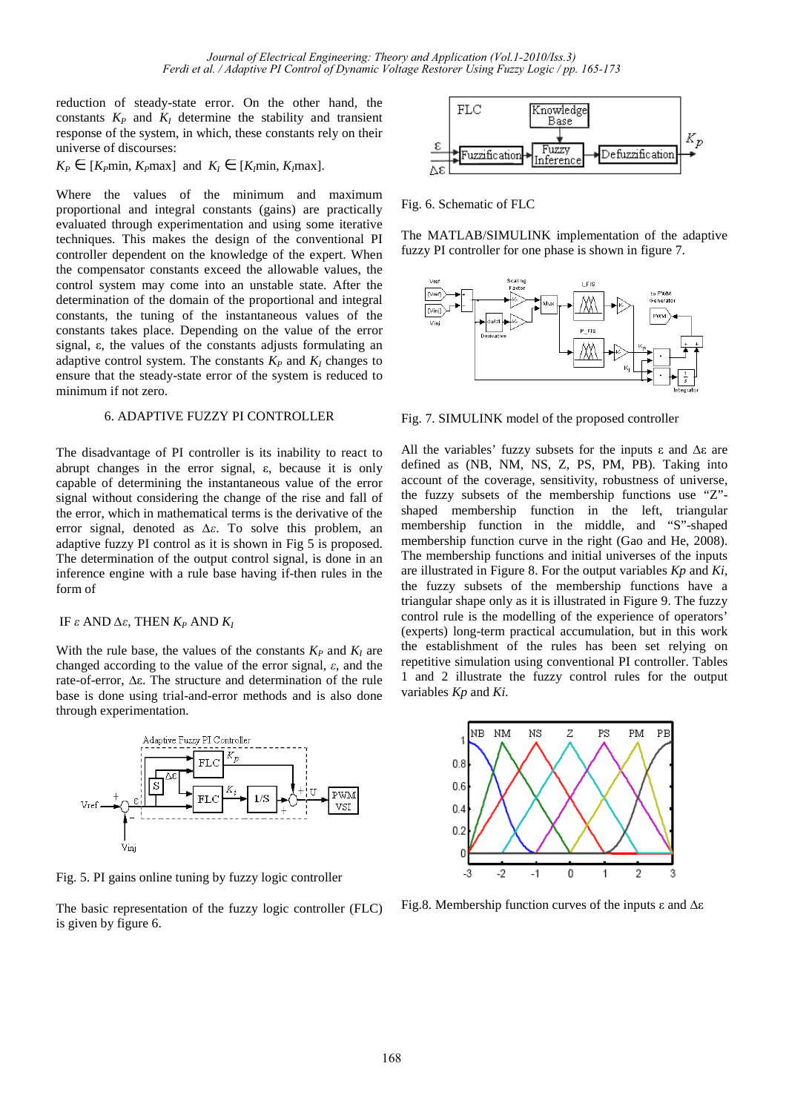reduction of steady-state error. On the other hand, the constants  $K_P$  and  $K_I$  determine the stability and transient response of the system, in which, these constants rely on their universe of discourses:

 $K_P \in [K_P \text{min}, K_P \text{max}]$  and  $K_I \in [K_I \text{min}, K_I \text{max}]$ .

Where the values of the minimum and maximum proportional and integral constants (gains) are practically evaluated through experimentation and using some iterative techniques. This makes the design of the conventional PI controller dependent on the knowledge of the expert. When the compensator constants exceed the allowable values, the control system may come into an unstable state. After the determination of the domain of the proportional and integral constants, the tuning of the instantaneous values of the constants takes place. Depending on the value of the error signal, ε, the values of the constants adjusts formulating an adaptive control system. The constants  $K_P$  and  $K_I$  changes to ensure that the steady-state error of the system is reduced to minimum if not zero.

## 6. ADAPTIVE FUZZY PI CONTROLLER

The disadvantage of PI controller is its inability to react to abrupt changes in the error signal, ε, because it is only capable of determining the instantaneous value of the error signal without considering the change of the rise and fall of the error, which in mathematical terms is the derivative of the error signal, denoted as *∆ε*. To solve this problem, an adaptive fuzzy PI control as it is shown in Fig 5 is proposed. The determination of the output control signal, is done in an inference engine with a rule base having if-then rules in the form of

# IF *ε* AND *∆ε*, THEN *K<sup>P</sup>* AND *K<sup>I</sup>*

With the rule base, the values of the constants  $K_P$  and  $K_I$  are changed according to the value of the error signal, *ε*, and the rate-of-error, ∆ε. The structure and determination of the rule base is done using trial-and-error methods and is also done through experimentation.



Fig. 5. PI gains online tuning by fuzzy logic controller

The basic representation of the fuzzy logic controller (FLC) is given by figure 6.



Fig. 6. Schematic of FLC

The MATLAB/SIMULINK implementation of the adaptive fuzzy PI controller for one phase is shown in figure 7.



Fig. 7. SIMULINK model of the proposed controller

All the variables' fuzzy subsets for the inputs  $ε$  and  $Δε$  are defined as (NB, NM, NS, Z, PS, PM, PB). Taking into account of the coverage, sensitivity, robustness of universe, the fuzzy subsets of the membership functions use "Z" shaped membership function in the left, triangular membership function in the middle, and "S"-shaped membership function curve in the right (Gao and He, 2008). The membership functions and initial universes of the inputs are illustrated in Figure 8. For the output variables *Kp* and *Ki,* the fuzzy subsets of the membership functions have a triangular shape only as it is illustrated in Figure 9. The fuzzy control rule is the modelling of the experience of operators' (experts) long-term practical accumulation, but in this work the establishment of the rules has been set relying on repetitive simulation using conventional PI controller. Tables 1 and 2 illustrate the fuzzy control rules for the output variables *Kp* and *Ki.* 



Fig.8. Membership function curves of the inputs ε and ∆ε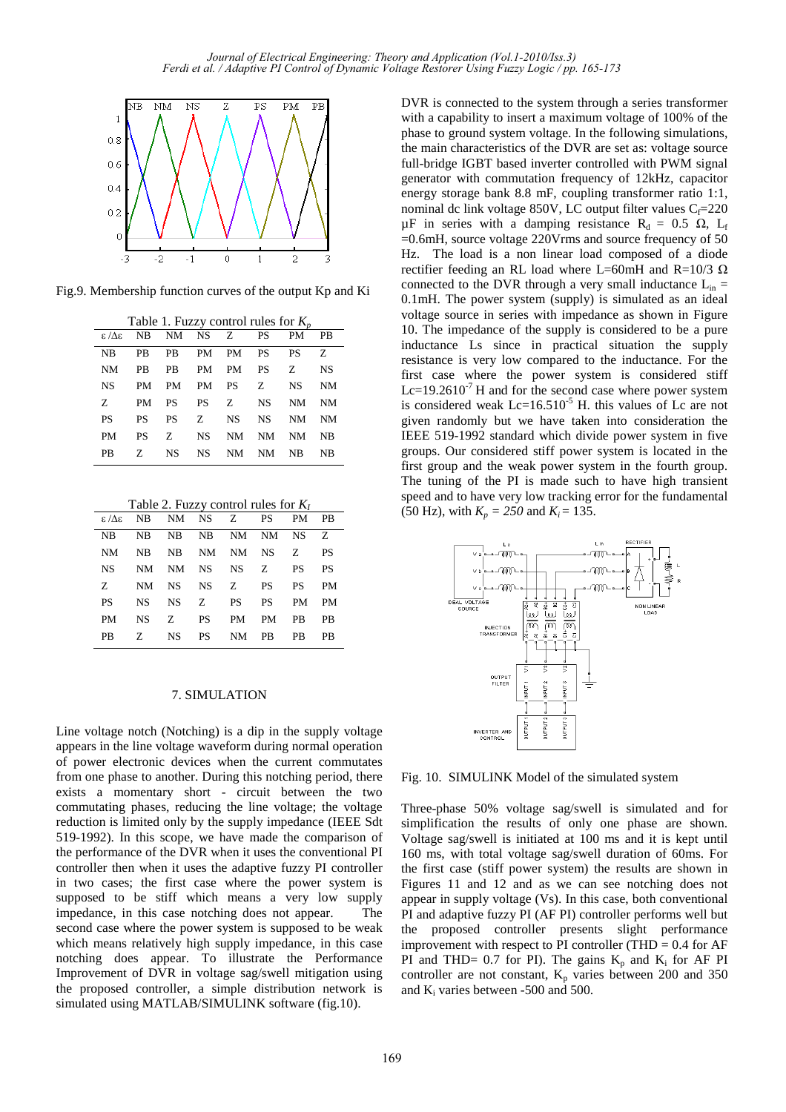

Fig.9. Membership function curves of the output Kp and Ki

| Table 1. Fuzzy control rules for $K_n$ |           |               |           |           |             |           |           |  |  |  |  |
|----------------------------------------|-----------|---------------|-----------|-----------|-------------|-----------|-----------|--|--|--|--|
| $\varepsilon / \Delta \varepsilon$     |           | NB NM NS Z PS |           |           |             | <b>PM</b> | PB        |  |  |  |  |
| NB                                     | PB        | <b>PB</b>     | PM        | PM        | <b>PS</b>   | <b>PS</b> | Z.        |  |  |  |  |
| <b>NM</b>                              | PB        | <b>PB</b>     | PM        | <b>PM</b> | PS F        | Z.        | <b>NS</b> |  |  |  |  |
| <b>NS</b>                              | PM        | <b>PM</b>     | <b>PM</b> | <b>PS</b> | $Z_{\rm c}$ | <b>NS</b> | NM        |  |  |  |  |
| Z                                      | <b>PM</b> | <b>PS</b>     | <b>PS</b> | Z         | <b>NS</b>   | NM        | NM        |  |  |  |  |
| <b>PS</b>                              | <b>PS</b> | <b>PS</b>     | Z.        | <b>NS</b> | <b>NS</b>   | NM        | NM        |  |  |  |  |
| <b>PM</b>                              | <b>PS</b> | Z             | <b>NS</b> | <b>NM</b> | <b>NM</b>   | NM        | NΒ        |  |  |  |  |
| PB                                     | Z.        | NS.           | NS.       | <b>NM</b> | NM          | <b>NB</b> | NΒ        |  |  |  |  |

|                        |  | $\epsilon/\Delta \epsilon$ NB NM NS Z PS PM PB |  |           |
|------------------------|--|------------------------------------------------|--|-----------|
| NB NB NB NB NM NM NS Z |  |                                                |  |           |
| NM                     |  | NB NB NM NM NS Z                               |  | <b>PS</b> |
| NS -                   |  | NM NM NS NS Z PS PS                            |  |           |
| Z.                     |  | NM NS NS Z PS PS PM                            |  |           |
| <b>PS</b>              |  | NS NS Z PS PS PM PM                            |  |           |
| PM                     |  | NS Z PS PM PM PB PB                            |  |           |
| <b>PB</b>              |  | Z NS PS NM PB PB PB                            |  |           |
|                        |  |                                                |  |           |

## 7. SIMULATION

Line voltage notch (Notching) is a dip in the supply voltage appears in the line voltage waveform during normal operation of power electronic devices when the current commutates from one phase to another. During this notching period, there exists a momentary short - circuit between the two commutating phases, reducing the line voltage; the voltage reduction is limited only by the supply impedance (IEEE Sdt 519-1992). In this scope, we have made the comparison of the performance of the DVR when it uses the conventional PI controller then when it uses the adaptive fuzzy PI controller in two cases; the first case where the power system is supposed to be stiff which means a very low supply impedance, in this case notching does not appear. The second case where the power system is supposed to be weak which means relatively high supply impedance, in this case notching does appear. To illustrate the Performance Improvement of DVR in voltage sag/swell mitigation using the proposed controller, a simple distribution network is simulated using MATLAB/SIMULINK software (fig.10).

DVR is connected to the system through a series transformer with a capability to insert a maximum voltage of 100% of the phase to ground system voltage. In the following simulations, the main characteristics of the DVR are set as: voltage source full-bridge IGBT based inverter controlled with PWM signal generator with commutation frequency of 12kHz, capacitor energy storage bank 8.8 mF, coupling transformer ratio 1:1, nominal dc link voltage 850V, LC output filter values  $C_f = 220$ μF in series with a damping resistance R<sub>d</sub> = 0.5 Ω, L<sub>f</sub> =0.6mH, source voltage 220Vrms and source frequency of 50 Hz. The load is a non linear load composed of a diode rectifier feeding an RL load where L=60mH and R=10/3 Ω connected to the DVR through a very small inductance  $L_{in}$  = 0.1mH. The power system (supply) is simulated as an ideal voltage source in series with impedance as shown in Figure 10. The impedance of the supply is considered to be a pure inductance Ls since in practical situation the supply resistance is very low compared to the inductance. For the first case where the power system is considered stiff  $Lc=19.2610<sup>-7</sup>$  H and for the second case where power system is considered weak  $Lc=16.510^{-5}$  H. this values of Lc are not given randomly but we have taken into consideration the IEEE 519-1992 standard which divide power system in five groups. Our considered stiff power system is located in the first group and the weak power system in the fourth group. The tuning of the PI is made such to have high transient speed and to have very low tracking error for the fundamental (50 Hz), with  $K_p = 250$  and  $K_i = 135$ .



Fig. 10. SIMULINK Model of the simulated system

Three-phase 50% voltage sag/swell is simulated and for simplification the results of only one phase are shown. Voltage sag/swell is initiated at 100 ms and it is kept until 160 ms, with total voltage sag/swell duration of 60ms. For the first case (stiff power system) the results are shown in Figures 11 and 12 and as we can see notching does not appear in supply voltage (Vs). In this case, both conventional PI and adaptive fuzzy PI (AF PI) controller performs well but the proposed controller presents slight performance improvement with respect to PI controller (THD  $= 0.4$  for AF PI and THD= 0.7 for PI). The gains  $K_p$  and  $K_i$  for AF PI controller are not constant,  $K_p$  varies between 200 and 350 and  $K_i$  varies between -500 and 500.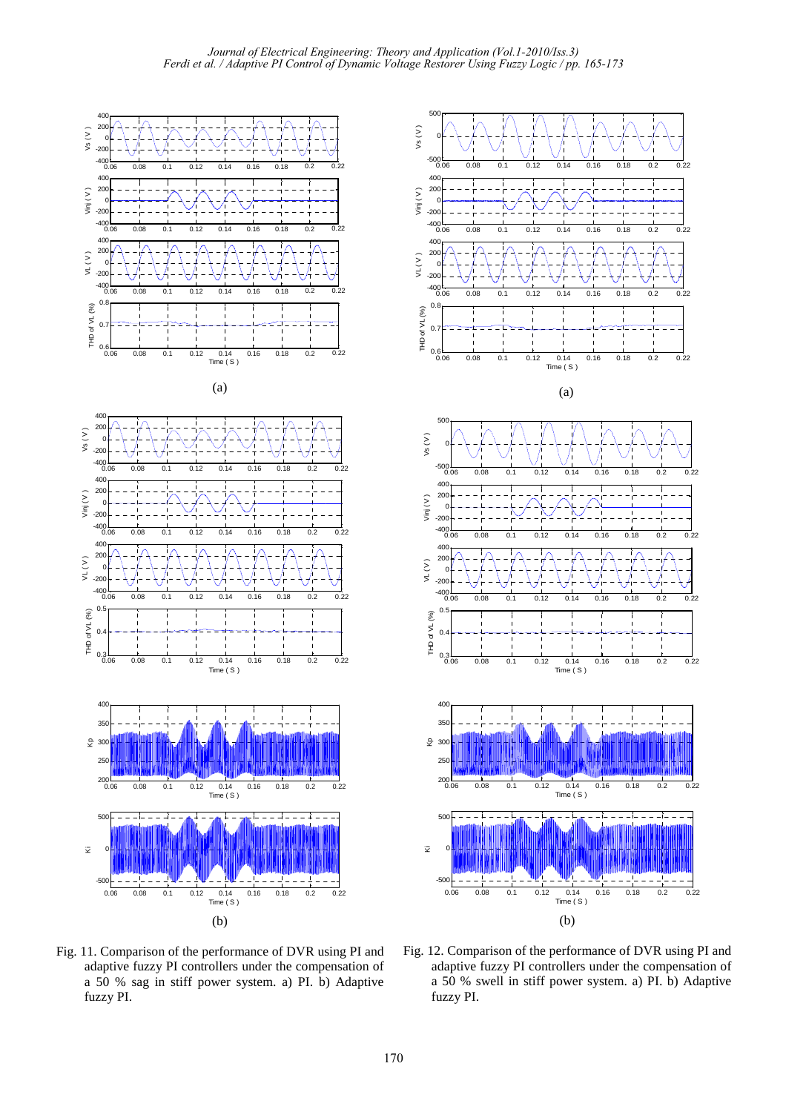50









 $Vs (V)$ 0 -500 0.06 0.08 0.1 0.12 0.14 0.16 0.18 0.2 0.22 400  $\overline{20}$ Vinj ( V ) 0  $-20$  $-40($ 0.06 0.08 0.1 0.12 0.14 0.16 0.18 0.2 0.22 <sub>40</sub> **20**  $\vee$  (  $\vee$  ) 0  $-20$ -400 0.06 0.08 0.1 0.12 0.14 0.16 0.18 0.2 0.22  $0.8$ THD of VL (%) THD of VL (%)  $\Omega$ .  $0.6 - 0.06$ 0.06 0.08 0.1 0.12 0.14 0.16 0.18 0.2 0.22<br>Time(S) (a) 500 vs  $(V)$ 0 -500 0.06 0.08 0.1 0.12 0.14 0.16 0.18 0.2 0.22  $40$ **20** Vinj ( V ) 0  $-20$  $-400 - 60$ 0.06 0.08 0.1 0.12 0.14 0.16 0.18 0.2 0.22  $40$  $20$  $VL(V)$ 0  $-20$  $-400 - 0.06$ 0.06 0.08 0.1 0.12 0.14 0.16 0.18 0.2 0.22 0.5 THD of VL (%) THD of VL (%)  $\Omega$  $\frac{1}{1}$  $0.3 - 0.06$ 0.06 0.08 0.1 0.12 0.14 0.16 0.18 0.2 0.22 Time ( S ) 40  $35^{\circ}$ 운 300 250  $^{200}$ -<br>0.06 0.06 0.08 0.1 0.12 0.14 0.16 0.18 0.2 0.22 Time ( S ) 500 Ki 0 -500 0.06 0.08 0.1 0.12 0.14 0.16 0.18 0.2 0.22<br>Time ( S )

Fig. 11. Comparison of the performance of DVR using PI and adaptive fuzzy PI controllers under the compensation of a 50 % sag in stiff power system. a) PI. b) Adaptive fuzzy PI.

Fig. 12. Comparison of the performance of DVR using PI and adaptive fuzzy PI controllers under the compensation of a 50 % swell in stiff power system. a) PI. b) Adaptive fuzzy PI.

(b)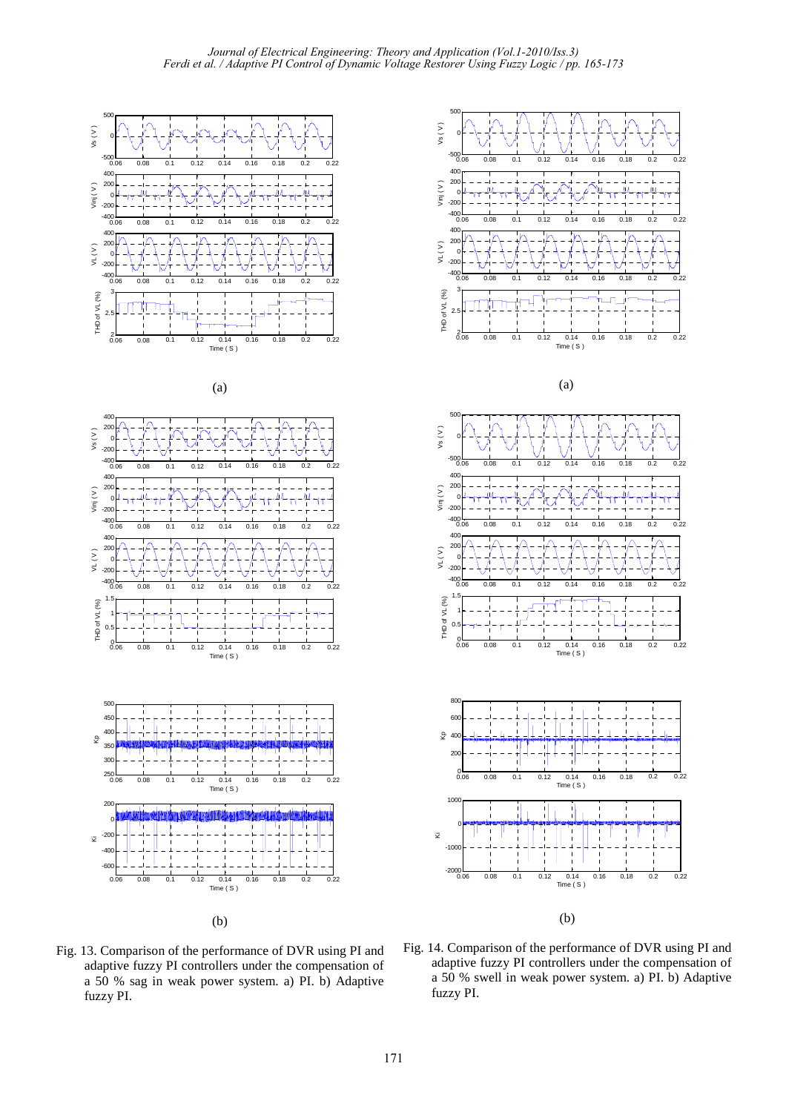

$$
(a)
$$













Fig. 13. Comparison of the performance of DVR using PI and adaptive fuzzy PI controllers under the compensation of a 50 % sag in weak power system. a) PI. b) Adaptive fuzzy PI.

Fig. 14. Comparison of the performance of DVR using PI and adaptive fuzzy PI controllers under the compensation of a 50 % swell in weak power system. a) PI. b) Adaptive fuzzy PI.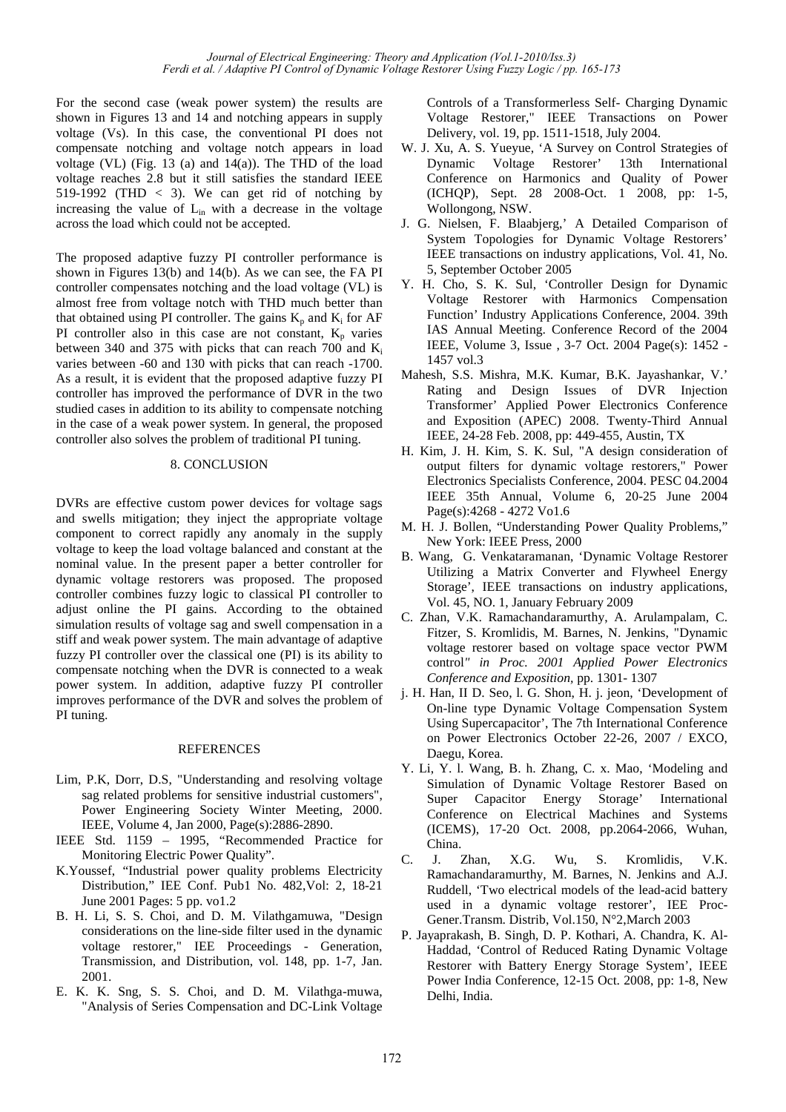For the second case (weak power system) the results are shown in Figures 13 and 14 and notching appears in supply voltage (Vs). In this case, the conventional PI does not compensate notching and voltage notch appears in load voltage (VL) (Fig. 13 (a) and 14(a)). The THD of the load voltage reaches 2.8 but it still satisfies the standard IEEE 519-1992 (THD  $<$  3). We can get rid of notching by increasing the value of  $L_{in}$  with a decrease in the voltage across the load which could not be accepted.

The proposed adaptive fuzzy PI controller performance is shown in Figures 13(b) and 14(b). As we can see, the FA PI controller compensates notching and the load voltage (VL) is almost free from voltage notch with THD much better than that obtained using PI controller. The gains  $K_p$  and  $K_i$  for AF PI controller also in this case are not constant,  $K_p$  varies between 340 and 375 with picks that can reach 700 and  $K_i$ varies between -60 and 130 with picks that can reach -1700. As a result, it is evident that the proposed adaptive fuzzy PI controller has improved the performance of DVR in the two studied cases in addition to its ability to compensate notching in the case of a weak power system. In general, the proposed controller also solves the problem of traditional PI tuning.

## 8. CONCLUSION

DVRs are effective custom power devices for voltage sags and swells mitigation; they inject the appropriate voltage component to correct rapidly any anomaly in the supply voltage to keep the load voltage balanced and constant at the nominal value. In the present paper a better controller for dynamic voltage restorers was proposed. The proposed controller combines fuzzy logic to classical PI controller to adjust online the PI gains. According to the obtained simulation results of voltage sag and swell compensation in a stiff and weak power system. The main advantage of adaptive fuzzy PI controller over the classical one (PI) is its ability to compensate notching when the DVR is connected to a weak power system. In addition, adaptive fuzzy PI controller improves performance of the DVR and solves the problem of PI tuning.

# REFERENCES

- Lim, P.K, Dorr, D.S, "Understanding and resolving voltage sag related problems for sensitive industrial customers", Power Engineering Society Winter Meeting, 2000. IEEE, Volume 4, Jan 2000, Page(s):2886-2890.
- IEEE Std. 1159 1995, "Recommended Practice for Monitoring Electric Power Quality".
- K.Youssef, "Industrial power quality problems Electricity Distribution," IEE Conf. Pub1 No. 482,Vol: 2, 18-21 June 2001 Pages: 5 pp. vo1.2
- B. H. Li, S. S. Choi, and D. M. Vilathgamuwa, "Design considerations on the line-side filter used in the dynamic voltage restorer," IEE Proceedings - Generation, Transmission, and Distribution, vol. 148, pp. 1-7, Jan. 2001.
- E. K. K. Sng, S. S. Choi, and D. M. Vilathga-muwa, "Analysis of Series Compensation and DC-Link Voltage

Controls of a Transformerless Self- Charging Dynamic Voltage Restorer," IEEE Transactions on Power Delivery, vol. 19, pp. 1511-1518, July 2004.

- W. J. Xu, A. S. Yueyue, 'A Survey on Control Strategies of Dynamic Voltage Restorer' 13th International Conference on Harmonics and Quality of Power (ICHQP), Sept. 28 2008-Oct. 1 2008, pp: 1-5, Wollongong, NSW.
- J. G. Nielsen, F. Blaabjerg,' A Detailed Comparison of System Topologies for Dynamic Voltage Restorers' IEEE transactions on industry applications, Vol. 41, No. 5, September October 2005
- Y. H. Cho, S. K. Sul, 'Controller Design for Dynamic Voltage Restorer with Harmonics Compensation Function' Industry Applications Conference, 2004. 39th IAS Annual Meeting. Conference Record of the 2004 IEEE, Volume 3, Issue , 3-7 Oct. 2004 Page(s): 1452 - 1457 vol.3
- Mahesh, S.S. Mishra, M.K*.* Kumar, B.K. Jayashankar, V.' Rating and Design Issues of DVR Injection Transformer' Applied Power Electronics Conference and Exposition (APEC) 2008. Twenty-Third Annual IEEE, 24-28 Feb. 2008, pp: 449-455, Austin, TX
- H. Kim, J. H. Kim, S. K. Sul, "A design consideration of output filters for dynamic voltage restorers," Power Electronics Specialists Conference, 2004. PESC 04.2004 IEEE 35th Annual, Volume 6, 20-25 June 2004 Page(s):4268 - 4272 Vo1.6
- M. H. J. Bollen, "Understanding Power Quality Problems," New York: IEEE Press, 2000
- B. Wang, G. Venkataramanan, 'Dynamic Voltage Restorer Utilizing a Matrix Converter and Flywheel Energy Storage', IEEE transactions on industry applications, Vol. 45, NO. 1, January February 2009
- C. Zhan, V.K. Ramachandaramurthy, A. Arulampalam, C. Fitzer, S. Kromlidis, M. Barnes, N. Jenkins, "Dynamic voltage restorer based on voltage space vector PWM control*" in Proc. 2001 Applied Power Electronics Conference and Exposition,* pp. 1301- 1307
- j. H. Han, II D. Seo, l. G. Shon, H. j. jeon, 'Development of On-line type Dynamic Voltage Compensation System Using Supercapacitor', The 7th International Conference on Power Electronics October 22-26, 2007 / EXCO, Daegu, Korea.
- Y. Li, Y. l. Wang, B. h. Zhang, C. x. Mao, 'Modeling and Simulation of Dynamic Voltage Restorer Based on Super Capacitor Energy Storage' International Conference on Electrical Machines and Systems (ICEMS), 17-20 Oct. 2008, pp.2064-2066, Wuhan, China.
- C. J. Zhan, X.G. Wu, S. Kromlidis, V.K. Ramachandaramurthy, M. Barnes, N. Jenkins and A.J. Ruddell, 'Two electrical models of the lead-acid battery used in a dynamic voltage restorer', IEE Proc-Gener.Transm. Distrib, Vol.150, N°2,March 2003
- P. Jayaprakash, B. Singh, D. P. Kothari, A. Chandra, K. Al-Haddad, 'Control of Reduced Rating Dynamic Voltage Restorer with Battery Energy Storage System', IEEE Power India Conference, 12-15 Oct. 2008, pp: 1-8, New Delhi, India.